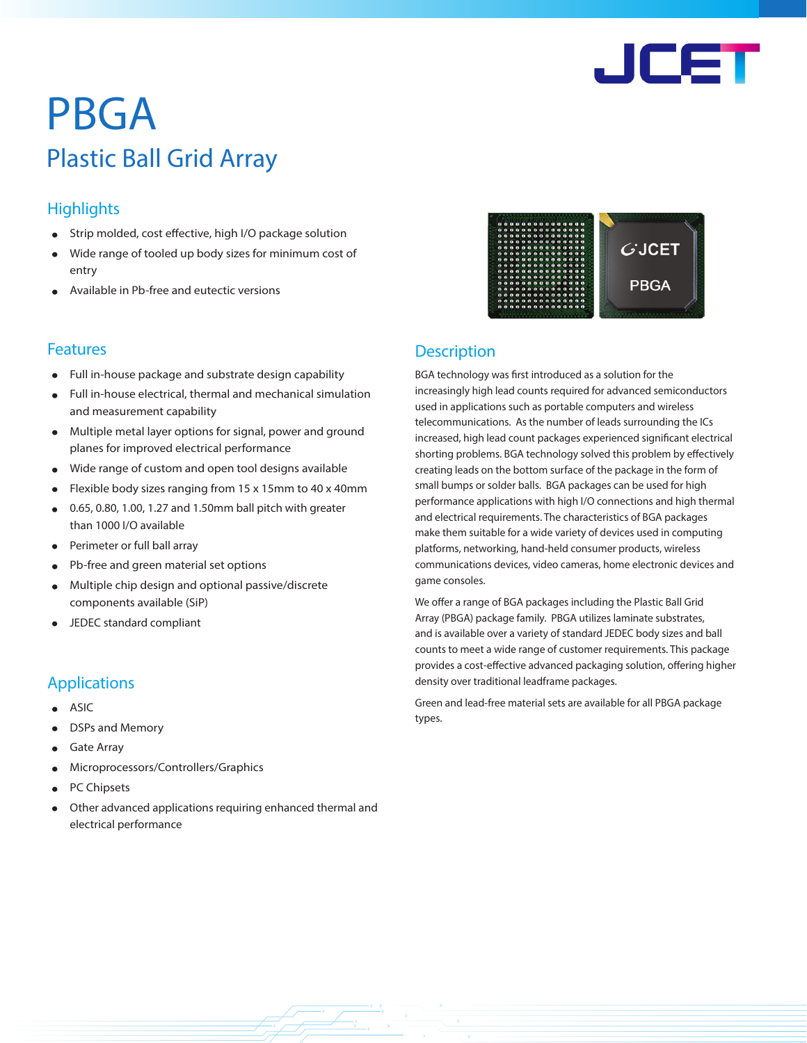

# PBGA Plastic Ball Grid Array

## **Highlights**

- Strip molded, cost effective, high I/O package solution
- Wide range of tooled up body sizes for minimum cost of entry
- Available in Pb-free and eutectic versions

## Features

- Full in-house package and substrate design capability
- Full in-house electrical, thermal and mechanical simulation and measurement capability
- Multiple metal layer options for signal, power and ground planes for improved electrical performance
- Wide range of custom and open tool designs available
- Flexible body sizes ranging from 15 x 15mm to 40 x 40mm
- 0.65, 0.80, 1.00, 1.27 and 1.50mm ball pitch with greater than 1000 I/O available
- Perimeter or full ball array
- Pb-free and green material set options
- Multiple chip design and optional passive/discrete components available (SiP)
- JEDEC standard compliant

## **Applications**

- **ASIC**
- DSPs and Memory
- **Gate Array**
- Microprocessors/Controllers/Graphics
- PC Chipsets
- Other advanced applications requiring enhanced thermal and electrical performance



### **Description**

BGA technology was first introduced as a solution for the increasingly high lead counts required for advanced semiconductors used in applications such as portable computers and wireless telecommunications. As the number of leads surrounding the ICs increased, high lead count packages experienced significant electrical shorting problems. BGA technology solved this problem by effectively creating leads on the bottom surface of the package in the form of small bumps or solder balls. BGA packages can be used for high performance applications with high I/O connections and high thermal and electrical requirements. The characteristics of BGA packages make them suitable for a wide variety of devices used in computing platforms, networking, hand-held consumer products, wireless communications devices, video cameras, home electronic devices and game consoles.

We offer a range of BGA packages including the Plastic Ball Grid Array (PBGA) package family. PBGA utilizes laminate substrates, and is available over a variety of standard JEDEC body sizes and ball counts to meet a wide range of customer requirements. This package provides a cost-effective advanced packaging solution, offering higher density over traditional leadframe packages.

Green and lead-free material sets are available for all PBGA package types.